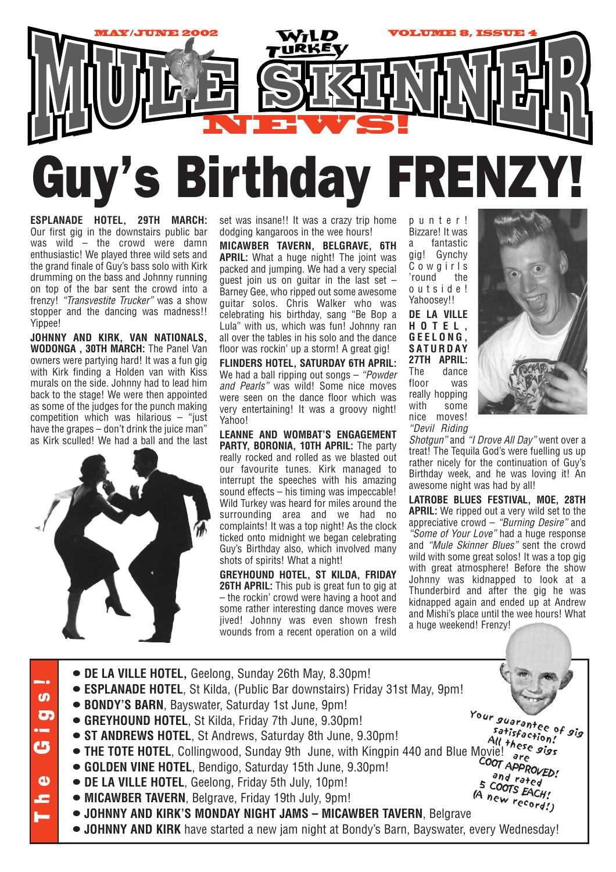

**ESPLANADE HOTEL, 29TH MARCH:** Our first gig in the downstairs public bar was wild – the crowd were damn enthusiastic! We played three wild sets and the grand finale of Guy's bass solo with Kirk drumming on the bass and Johnny running on top of the bar sent the crowd into a frenzy! *"Transvestite Trucker"* was a show stopper and the dancing was madness!! Yippee!

**JOHNNY AND KIRK, VAN NATIONALS, WODONGA , 30TH MARCH:** The Panel Van owners were partying hard! It was a fun gig with Kirk finding a Holden van with Kiss murals on the side. Johnny had to lead him back to the stage! We were then appointed as some of the judges for the punch making competition which was hilarious – "just have the grapes – don't drink the juice man" as Kirk sculled! We had a ball and the last



set was insane!! It was a crazy trip home dodging kangaroos in the wee hours!

**MICAWBER TAVERN, BELGRAVE, 6TH APRIL:** What a huge night! The joint was packed and jumping. We had a very special guest join us on guitar in the last set  $-$ Barney Gee, who ripped out some awesome guitar solos. Chris Walker who was celebrating his birthday, sang "Be Bop a Lula" with us, which was fun! Johnny ran all over the tables in his solo and the dance floor was rockin' up a storm! A great gig!

**FLINDERS HOTEL, SATURDAY 6TH APRIL:** We had a ball ripping out songs – *"Powder and Pearls"* was wild! Some nice moves were seen on the dance floor which was very entertaining! It was a groovy night! Yahoo!

**LEANNE AND WOMBAT'S ENGAGEMENT PARTY, BORONIA, 10TH APRIL:** The party really rocked and rolled as we blasted out our favourite tunes. Kirk managed to interrupt the speeches with his amazing sound effects – his timing was impeccable! Wild Turkey was heard for miles around the surrounding area and we had no complaints! It was a top night! As the clock ticked onto midnight we began celebrating Guy's Birthday also, which involved many shots of spirits! What a night!

**GREYHOUND HOTEL, ST KILDA, FRIDAY 26TH APRIL:** This pub is great fun to gig at – the rockin' crowd were having a hoot and some rather interesting dance moves were jived! Johnny was even shown fresh wounds from a recent operation on a wild

punter! Bizzare! It was a fantastic gig! Gynchy Cowgirls 'round the outside! Yahoosey!! **DE LA VILLE HOTEL, GEELONG, SATURDAY 27TH APRIL:** The dance floor was really hopping with some nice moves! *"Devil Riding*



*Shotgun"* and *"I Drove All Day"* went over a treat! The Tequila God's were fuelling us up rather nicely for the continuation of Guy's Birthday week, and he was loving it! An awesome night was had by all!

**LATROBE BLUES FESTIVAL, MOE, 28TH APRIL:** We ripped out a very wild set to the appreciative crowd – *"Burning Desire"* and *"Some of Your Love"* had a huge response and *"Mule Skinner Blues"* sent the crowd wild with some great solos! It was a top gig with great atmosphere! Before the show Johnny was kidnapped to look at a Thunderbird and after the gig he was kidnapped again and ended up at Andrew and Mishi's place until the wee hours! What a huge weekend! Frenzy!

- **• DE LA VILLE HOTEL,** Geelong, Sunday 26th May, 8.30pm! The Gigs! **• ESPLANADE HOTEL**, St Kilda, (Public Bar downstairs) Friday 31st May, 9pm!  $\overline{a}$ **• BONDY'S BARN**, Bayswater, Saturday 1st June, 9pm! Your guarantee of gig  $\overline{\mathbf{G}}$ **• GREYHOUND HOTEL**, St Kilda, Friday 7th June, 9.30pm! satisfaction! **• ST ANDREWS HOTEL**, St Andrews, Saturday 8th June, 9.30pm! All these gigs<br>VIE! are **en** • **THE TOTE HOTEL**, Collingwood, Sunday 9th June, with Kingpin 440 and Blue Movie! COOT APPROVED! **• GOLDEN VINE HOTEL**, Bendigo, Saturday 15th June, 9.30pm! and rated  $\mathbf{d}$ 5 COOTS EACH! **• DE LA VILLE HOTEL**, Geelong, Friday 5th July, 10pm! (A new record!)**• MICAWBER TAVERN**, Belgrave, Friday 19th July, 9pm! **• JOHNNY AND KIRK'S MONDAY NIGHT JAMS – MICAWBER TAVERN**, Belgrave
	- **• JOHNNY AND KIRK** have started a new jam night at Bondy's Barn, Bayswater, every Wednesday!